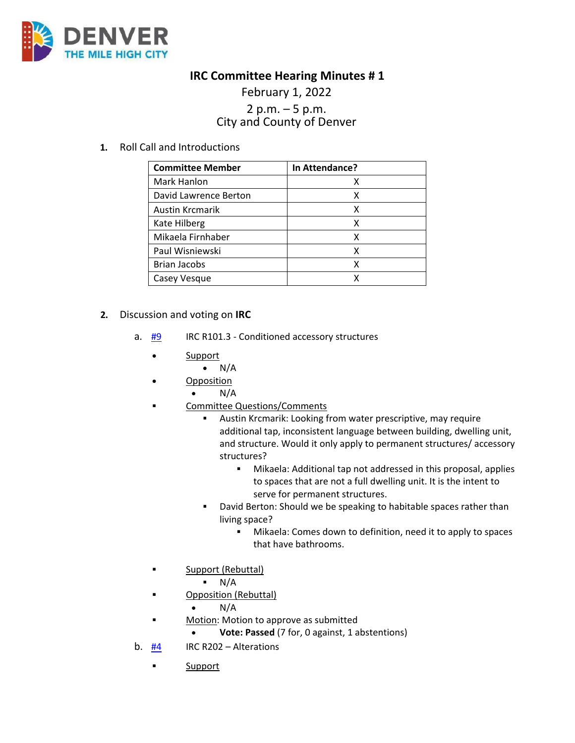

## **IRC Committee Hearing Minutes # 1**

## February 1, 2022 2 p.m. – 5 p.m.<br>City and County of Denver

**1.** Roll Call and Introductions

| <b>Committee Member</b> | In Attendance? |
|-------------------------|----------------|
| Mark Hanlon             |                |
| David Lawrence Berton   | x              |
| Austin Krcmarik         | χ              |
| Kate Hilberg            | χ              |
| Mikaela Firnhaber       | χ              |
| Paul Wisniewski         | x              |
| <b>Brian Jacobs</b>     | x              |
| Casey Vesque            |                |

- **2.** Discussion and voting on **IRC** 
	- a. [#9](https://www.denvergov.org/files/assets/public/community-planning-and-development/documents/ds/building-codes/code-adoption/amendment-proposals/irc/irc_101.3.pdf) IRC R101.3 Conditioned accessory structures
		- Support
			- $\bullet$  N/A
		- Opposition
			- N/A
		- **EXECOMMITTEE Questions/Comments** 
			- Austin Krcmarik: Looking from water prescriptive, may require additional tap, inconsistent language between building, dwelling unit, and structure. Would it only apply to permanent structures/ accessory structures?
				- Mikaela: Additional tap not addressed in this proposal, applies to spaces that are not a full dwelling unit. It is the intent to serve for permanent structures.
			- **David Berton: Should we be speaking to habitable spaces rather than** living space?
				- Mikaela: Comes down to definition, need it to apply to spaces that have bathrooms.
		- **Support (Rebuttal)** 
			- $N/A$
		- Opposition (Rebuttal)
			- $\bullet$  N/A
		- **Motion: Motion to approve as submitted** 
			- **Vote: Passed** (7 for, 0 against, 1 abstentions)
	- b. [#4](https://www.denvergov.org/files/assets/public/community-planning-and-development/documents/ds/building-codes/code-adoption/amendment-proposals/irc/irc_r202.pdf) IRC R202 Alterations
		- **Support**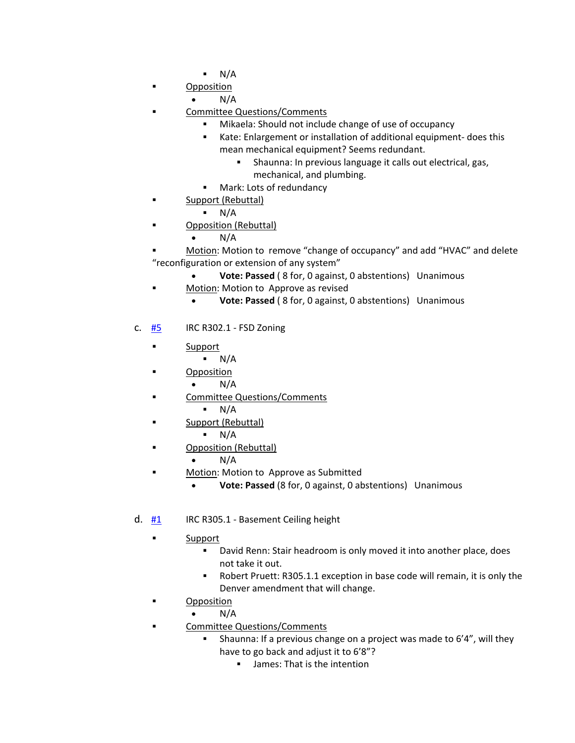- $N/A$
- **Opposition** 
	- $N/A$
- Committee Questions/Comments
	- Mikaela: Should not include change of use of occupancy
	- Kate: Enlargement or installation of additional equipment- does this mean mechanical equipment? Seems redundant.
		- Shaunna: In previous language it calls out electrical, gas, mechanical, and plumbing.
	- **Mark: Lots of redundancy**
- **Support (Rebuttal)** 
	- N/A
- Opposition (Rebuttal)
	- $N/A$
- Motion: Motion to remove "change of occupancy" and add "HVAC" and delete "reconfiguration or extension of any system"
	- **Vote: Passed** ( 8 for, 0 against, 0 abstentions) Unanimous
- **Motion: Motion to Approve as revised** 
	- **Vote: Passed** ( 8 for, 0 against, 0 abstentions) Unanimous
- c.  $\frac{H5}{H5}$  IRC R302.1 FSD Zoning
	- **Support** 
		- $N/A$
		- Opposition
			- $N/A$
	- **EXECOMMITTEE Questions/Comments** 
		- $N/A$
	- **Support (Rebuttal)** 
		- $N/A$
	- **Example 3** Opposition (Rebuttal)
		- $\bullet$  N/A
	- **EXECUTE:** Motion: Motion to Approve as Submitted
		- **Vote: Passed** (8 for, 0 against, 0 abstentions) Unanimous
- d.  $\frac{\#1}{\#1}$  $\frac{\#1}{\#1}$  $\frac{\#1}{\#1}$  IRC R305.1 Basement Ceiling height
	- **Example 5** Support
		- **•** David Renn: Stair headroom is only moved it into another place, does not take it out.
		- Robert Pruett: R305.1.1 exception in base code will remain, it is only the Denver amendment that will change.
	- **•** Opposition
		- $N/A$
	- **Example 2** Committee Questions/Comments
		- Shaunna: If a previous change on a project was made to 6'4", will they have to go back and adjust it to 6'8"?
			- **James: That is the intention**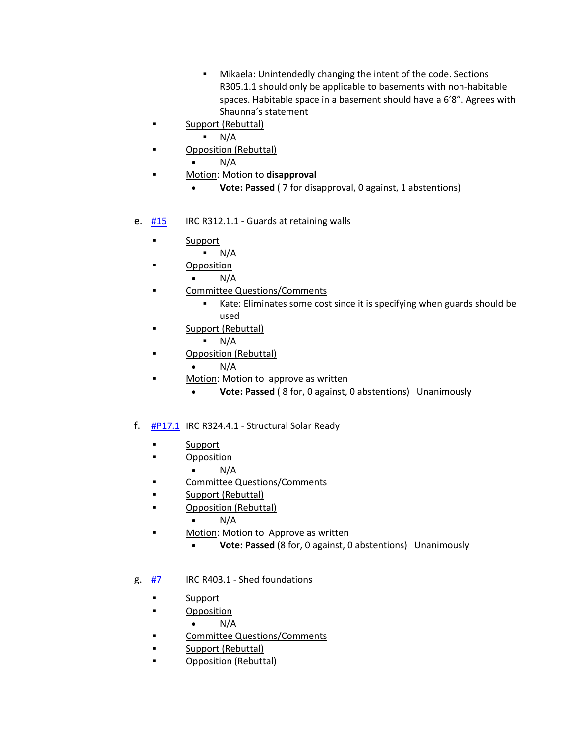- Mikaela: Unintendedly changing the intent of the code. Sections R305.1.1 should only be applicable to basements with non-habitable spaces. Habitable space in a basement should have a 6'8". Agrees with Shaunna's statement
- **Support (Rebuttal)** 
	- $N/A$
- **C** Opposition (Rebuttal)
	- N/A
- Motion: Motion to **disapproval** 
	- **Vote: Passed** ( 7 for disapproval, 0 against, 1 abstentions)
- e.  $\frac{#15}{}$  $\frac{#15}{}$  $\frac{#15}{}$  IRC R312.1.1 Guards at retaining walls
	- **Support** 
		- $N/A$
	- **Deposition** 
		- $\bullet$  N/A
	- **EXECOMMITTEE Questions/Comments** 
		- Kate: Eliminates some cost since it is specifying when guards should be used
	- **Support (Rebuttal)** 
		- $N/A$
	- **E** Opposition (Rebuttal)
		- $N/A$
	- **Motion:** Motion to approve as written
		- **Vote: Passed** ( 8 for, 0 against, 0 abstentions) Unanimously
- f.  $\frac{\text{#P17.1}}{\text{P17.1}}$  $\frac{\text{#P17.1}}{\text{P17.1}}$  $\frac{\text{#P17.1}}{\text{P17.1}}$  IRC R324.4.1 Structural Solar Ready
	- **Support**
	- **Deposition** 
		- $\bullet$  N/A
	- **EXECOMMITTEE Questions/Comments**
	- **Example 1** Support (Rebuttal)
	- **Example 3** Opposition (Rebuttal)
		- $\bullet$  N/A
	- Motion: Motion to Approve as written
		- **Vote: Passed** (8 for, 0 against, 0 abstentions) Unanimously
- g. [#7](https://www.denvergov.org/files/assets/public/community-planning-and-development/documents/ds/building-codes/code-adoption/amendment-proposals/irc/irc_r403.1.pdf) IRC R403.1 Shed foundations
	- **Support**
	- **•** Opposition
		- $\bullet$  N/A
	- **Example 2** Committee Questions/Comments
	- **Support (Rebuttal)**
	- **Example 3** Opposition (Rebuttal)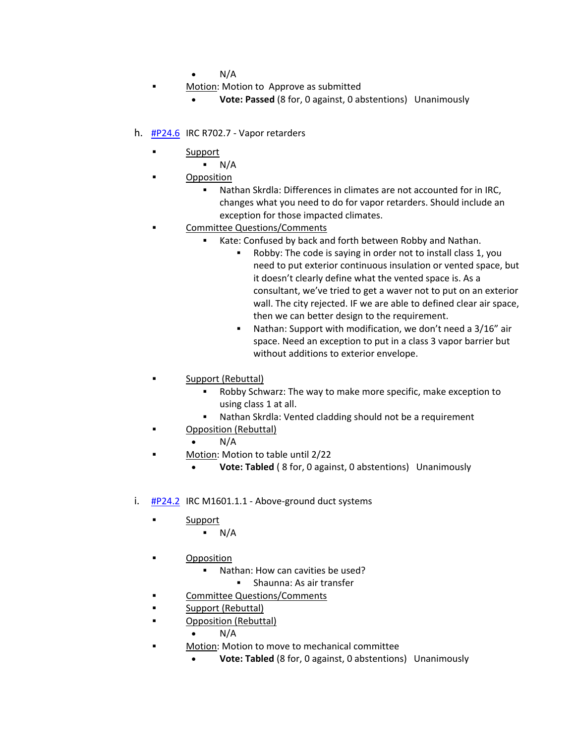- N/A
- Motion: Motion to Approve as submitted
	- **Vote: Passed** (8 for, 0 against, 0 abstentions) Unanimously
- h. [#P24.6](https://www.denvergov.org/files/assets/public/community-planning-and-development/documents/ds/building-codes/code-adoption/amendment-proposals/irc/irc_r702.7.pdf) IRC R702.7 Vapor retarders
	- **Support** 
		- $N/A$
	- **Deposition** 
		- Nathan Skrdla: Differences in climates are not accounted for in IRC, changes what you need to do for vapor retarders. Should include an exception for those impacted climates.
	- Committee Questions/Comments
		- Kate: Confused by back and forth between Robby and Nathan.
			- Robby: The code is saying in order not to install class 1, you need to put exterior continuous insulation or vented space, but it doesn't clearly define what the vented space is. As a consultant, we've tried to get a waver not to put on an exterior wall. The city rejected. IF we are able to defined clear air space, then we can better design to the requirement.
			- Nathan: Support with modification, we don't need a 3/16" air space. Need an exception to put in a class 3 vapor barrier but without additions to exterior envelope.
	- Support (Rebuttal)
		- Robby Schwarz: The way to make more specific, make exception to using class 1 at all.
		- Nathan Skrdla: Vented cladding should not be a requirement
		- Opposition (Rebuttal)
			- $\bullet$  N/A
	- **Motion: Motion to table until 2/22** 
		- **Vote: Tabled** ( 8 for, 0 against, 0 abstentions) Unanimously
- i.  $\#P24.2$  $\#P24.2$  IRC M1601.1.1 Above-ground duct systems
	- **Support** 
		- N/A
	- **Deposition** 
		- Nathan: How can cavities be used?
			- **Shaunna: As air transfer**
	- Committee Questions/Comments
	- **Support (Rebuttal)**
	- **Example 2** Opposition (Rebuttal)
		- $N/A$
	- **•** Motion: Motion to move to mechanical committee
		- **Vote: Tabled** (8 for, 0 against, 0 abstentions) Unanimously